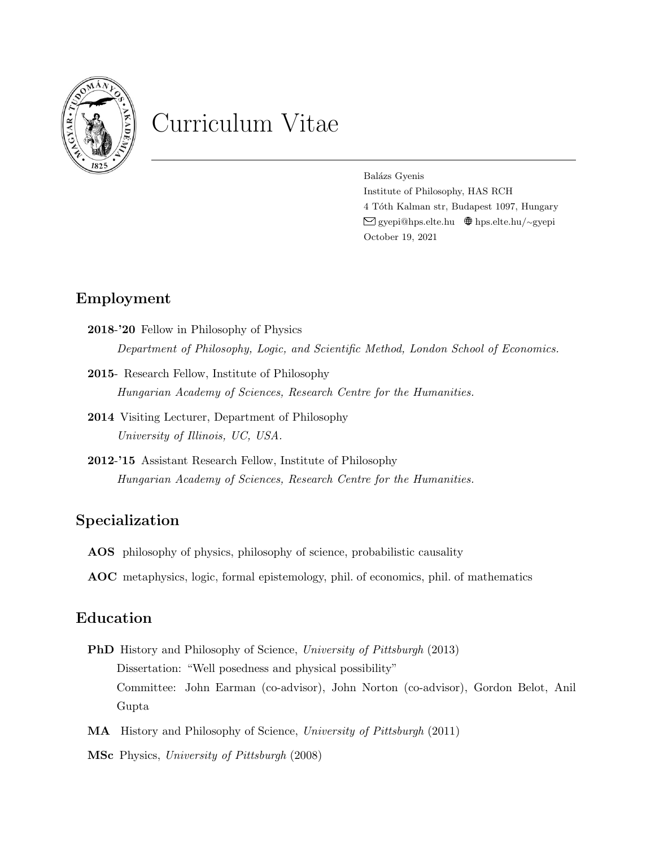

# Curriculum Vitae

Balázs Gyenis Institute of Philosophy, HAS RCH 4 Tóth Kalman str, Budapest 1097, Hungary [gyepi@hps.elte.hu](mailto:gyepi@hps.elte.hu) ❢[hps.elte.hu/](http://hps.elte.hu/~gyepi)∼gyepi October 19, 2021

# Employment

- 2018-'20 Fellow in Philosophy of Physics Department of Philosophy, Logic, and Scientific Method, London School of Economics.
- 2015- Research Fellow, Institute of Philosophy Hungarian Academy of Sciences, Research Centre for the Humanities.
- 2014 Visiting Lecturer, Department of Philosophy University of Illinois, UC, USA.
- 2012-'15 Assistant Research Fellow, Institute of Philosophy Hungarian Academy of Sciences, Research Centre for the Humanities.

# Specialization

- AOS philosophy of physics, philosophy of science, probabilistic causality
- AOC metaphysics, logic, formal epistemology, phil. of economics, phil. of mathematics

# Education

- PhD History and Philosophy of Science, University of Pittsburgh (2013) Dissertation: "Well posedness and physical possibility" Committee: John Earman (co-advisor), John Norton (co-advisor), Gordon Belot, Anil Gupta
- MA History and Philosophy of Science, University of Pittsburgh (2011)
- MSc Physics, University of Pittsburgh (2008)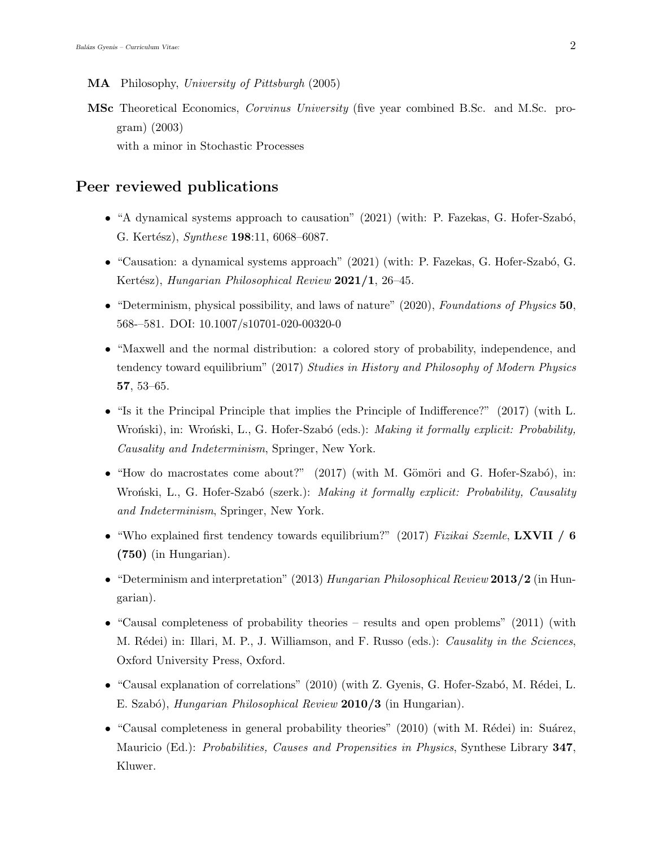- MA Philosophy, University of Pittsburgh (2005)
- MSc Theoretical Economics, Corvinus University (five year combined B.Sc. and M.Sc. program) (2003) with a minor in Stochastic Processes

## Peer reviewed publications

- "A dynamical systems approach to causation" (2021) (with: P. Fazekas, G. Hofer-Szabó, G. Kertész), Synthese 198:11, 6068–6087.
- "Causation: a dynamical systems approach"  $(2021)$  (with: P. Fazekas, G. Hofer-Szabó, G. Kertész), Hungarian Philosophical Review 2021/1, 26–45.
- "Determinism, physical possibility, and laws of nature" (2020), Foundations of Physics 50, 568-–581. DOI: 10.1007/s10701-020-00320-0
- "Maxwell and the normal distribution: a colored story of probability, independence, and tendency toward equilibrium" (2017) Studies in History and Philosophy of Modern Physics 57, 53–65.
- "Is it the Principal Principle that implies the Principle of Indifference?" (2017) (with L. Wroński), in: Wroński, L., G. Hofer-Szabó (eds.): Making it formally explicit: Probability, Causality and Indeterminism, Springer, New York.
- "How do macrostates come about?"  $(2017)$  (with M. Gömöri and G. Hofer-Szabó), in: Wroński, L., G. Hofer-Szabó (szerk.): Making it formally explicit: Probability, Causality and Indeterminism, Springer, New York.
- "Who explained first tendency towards equilibrium?" (2017) Fizikai Szemle, LXVII / 6 (750) (in Hungarian).
- "Determinism and interpretation" (2013) Hungarian Philosophical Review 2013/2 (in Hungarian).
- "Causal completeness of probability theories results and open problems" (2011) (with M. Rédei) in: Illari, M. P., J. Williamson, and F. Russo (eds.): Causality in the Sciences, Oxford University Press, Oxford.
- "Causal explanation of correlations"  $(2010)$  (with Z. Gyenis, G. Hofer-Szabó, M. Rédei, L. E. Szabó), *Hungarian Philosophical Review* 2010/3 (in Hungarian).
- "Causal completeness in general probability theories"  $(2010)$  (with M. Rédei) in: Suárez, Mauricio (Ed.): *Probabilities, Causes and Propensities in Physics*, Synthese Library 347, Kluwer.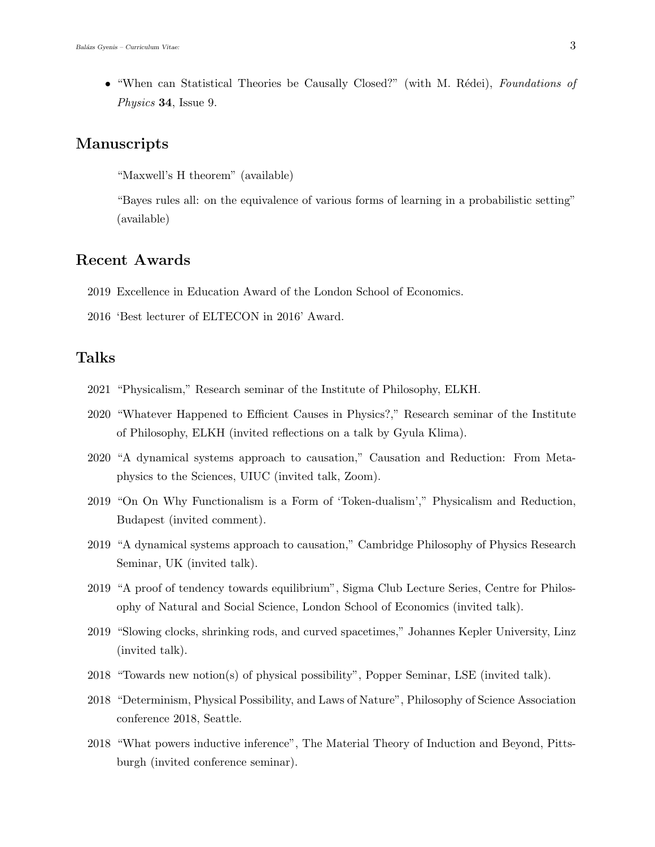• "When can Statistical Theories be Causally Closed?" (with M. Rédei), Foundations of Physics 34, Issue 9.

#### Manuscripts

"Maxwell's H theorem" (available)

"Bayes rules all: on the equivalence of various forms of learning in a probabilistic setting" (available)

## Recent Awards

- 2019 Excellence in Education Award of the London School of Economics.
- 2016 'Best lecturer of ELTECON in 2016' Award.

## Talks

- 2021 "Physicalism," Research seminar of the Institute of Philosophy, ELKH.
- 2020 "Whatever Happened to Efficient Causes in Physics?," Research seminar of the Institute of Philosophy, ELKH (invited reflections on a talk by Gyula Klima).
- 2020 "A dynamical systems approach to causation," Causation and Reduction: From Metaphysics to the Sciences, UIUC (invited talk, Zoom).
- 2019 "On On Why Functionalism is a Form of 'Token-dualism'," Physicalism and Reduction, Budapest (invited comment).
- 2019 "A dynamical systems approach to causation," Cambridge Philosophy of Physics Research Seminar, UK (invited talk).
- 2019 "A proof of tendency towards equilibrium", Sigma Club Lecture Series, Centre for Philosophy of Natural and Social Science, London School of Economics (invited talk).
- 2019 "Slowing clocks, shrinking rods, and curved spacetimes," Johannes Kepler University, Linz (invited talk).
- 2018 "Towards new notion(s) of physical possibility", Popper Seminar, LSE (invited talk).
- 2018 "Determinism, Physical Possibility, and Laws of Nature", Philosophy of Science Association conference 2018, Seattle.
- 2018 "What powers inductive inference", The Material Theory of Induction and Beyond, Pittsburgh (invited conference seminar).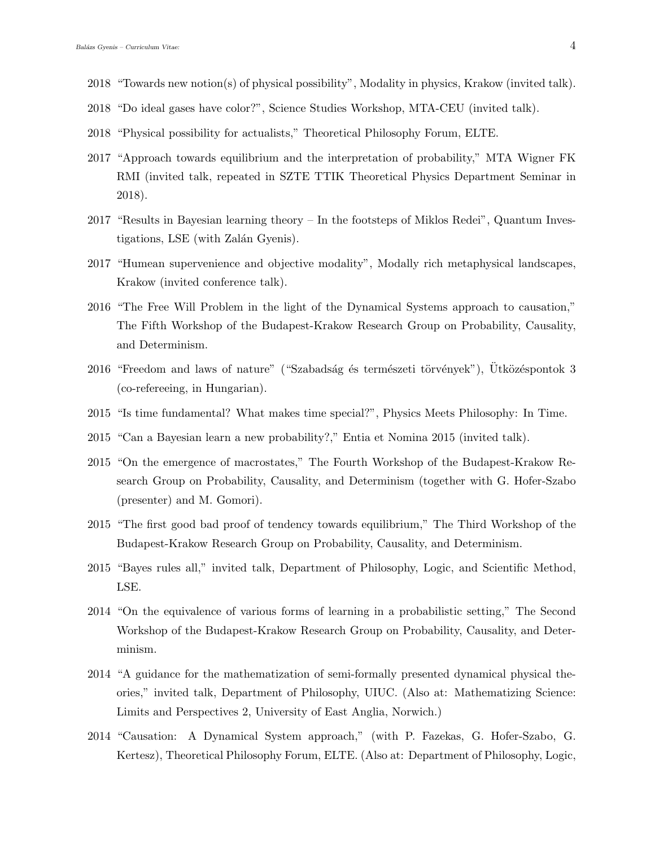- 2018 "Towards new notion(s) of physical possibility", Modality in physics, Krakow (invited talk).
- 2018 "Do ideal gases have color?", Science Studies Workshop, MTA-CEU (invited talk).
- 2018 "Physical possibility for actualists," Theoretical Philosophy Forum, ELTE.
- 2017 "Approach towards equilibrium and the interpretation of probability," MTA Wigner FK RMI (invited talk, repeated in SZTE TTIK Theoretical Physics Department Seminar in 2018).
- 2017 "Results in Bayesian learning theory In the footsteps of Miklos Redei", Quantum Investigations, LSE (with Zalán Gyenis).
- 2017 "Humean supervenience and objective modality", Modally rich metaphysical landscapes, Krakow (invited conference talk).
- 2016 "The Free Will Problem in the light of the Dynamical Systems approach to causation," The Fifth Workshop of the Budapest-Krakow Research Group on Probability, Causality, and Determinism.
- $2016$  "Freedom and laws of nature" ("Szabadság és természeti törvények"), Ütközéspontok 3 (co-refereeing, in Hungarian).
- 2015 "Is time fundamental? What makes time special?", Physics Meets Philosophy: In Time.
- 2015 "Can a Bayesian learn a new probability?," Entia et Nomina 2015 (invited talk).
- 2015 "On the emergence of macrostates," The Fourth Workshop of the Budapest-Krakow Research Group on Probability, Causality, and Determinism (together with G. Hofer-Szabo (presenter) and M. Gomori).
- 2015 "The first good bad proof of tendency towards equilibrium," The Third Workshop of the Budapest-Krakow Research Group on Probability, Causality, and Determinism.
- 2015 "Bayes rules all," invited talk, Department of Philosophy, Logic, and Scientific Method, LSE.
- 2014 "On the equivalence of various forms of learning in a probabilistic setting," The Second Workshop of the Budapest-Krakow Research Group on Probability, Causality, and Determinism.
- 2014 "A guidance for the mathematization of semi-formally presented dynamical physical theories," invited talk, Department of Philosophy, UIUC. (Also at: Mathematizing Science: Limits and Perspectives 2, University of East Anglia, Norwich.)
- 2014 "Causation: A Dynamical System approach," (with P. Fazekas, G. Hofer-Szabo, G. Kertesz), Theoretical Philosophy Forum, ELTE. (Also at: Department of Philosophy, Logic,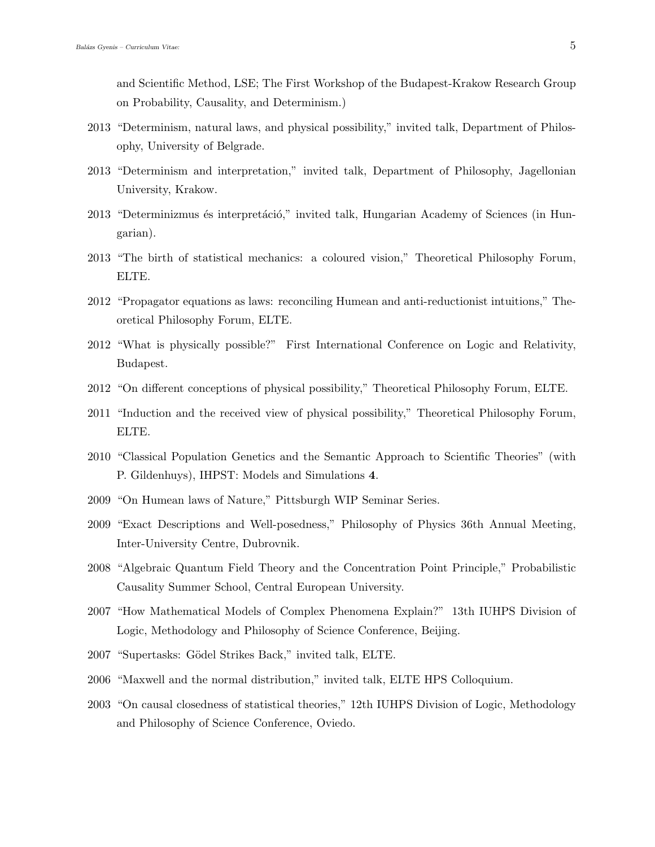and Scientific Method, LSE; The First Workshop of the Budapest-Krakow Research Group on Probability, Causality, and Determinism.)

- 2013 "Determinism, natural laws, and physical possibility," invited talk, Department of Philosophy, University of Belgrade.
- 2013 "Determinism and interpretation," invited talk, Department of Philosophy, Jagellonian University, Krakow.
- 2013 "Determinizmus és interpretáció," invited talk, Hungarian Academy of Sciences (in Hungarian).
- 2013 "The birth of statistical mechanics: a coloured vision," Theoretical Philosophy Forum, ELTE.
- 2012 "Propagator equations as laws: reconciling Humean and anti-reductionist intuitions," Theoretical Philosophy Forum, ELTE.
- 2012 "What is physically possible?" First International Conference on Logic and Relativity, Budapest.
- 2012 "On different conceptions of physical possibility," Theoretical Philosophy Forum, ELTE.
- 2011 "Induction and the received view of physical possibility," Theoretical Philosophy Forum, ELTE.
- 2010 "Classical Population Genetics and the Semantic Approach to Scientific Theories" (with P. Gildenhuys), IHPST: Models and Simulations 4.
- 2009 "On Humean laws of Nature," Pittsburgh WIP Seminar Series.
- 2009 "Exact Descriptions and Well-posedness," Philosophy of Physics 36th Annual Meeting, Inter-University Centre, Dubrovnik.
- 2008 "Algebraic Quantum Field Theory and the Concentration Point Principle," Probabilistic Causality Summer School, Central European University.
- 2007 "How Mathematical Models of Complex Phenomena Explain?" 13th IUHPS Division of Logic, Methodology and Philosophy of Science Conference, Beijing.
- 2007 "Supertasks: Gödel Strikes Back," invited talk, ELTE.
- 2006 "Maxwell and the normal distribution," invited talk, ELTE HPS Colloquium.
- 2003 "On causal closedness of statistical theories," 12th IUHPS Division of Logic, Methodology and Philosophy of Science Conference, Oviedo.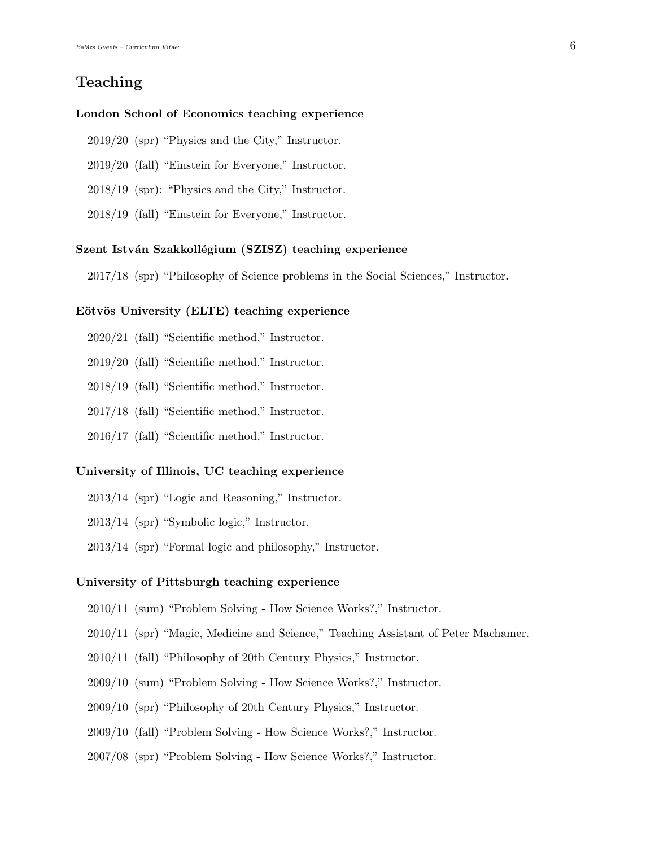## Teaching

#### London School of Economics teaching experience

- 2019/20 (spr) "Physics and the City," Instructor.
- 2019/20 (fall) "Einstein for Everyone," Instructor.
- 2018/19 (spr): "Physics and the City," Instructor.
- 2018/19 (fall) "Einstein for Everyone," Instructor.

#### Szent István Szakkollégium (SZISZ) teaching experience

2017/18 (spr) "Philosophy of Science problems in the Social Sciences," Instructor.

#### Eötvös University (ELTE) teaching experience

- 2020/21 (fall) "Scientific method," Instructor.
- 2019/20 (fall) "Scientific method," Instructor.
- 2018/19 (fall) "Scientific method," Instructor.
- 2017/18 (fall) "Scientific method," Instructor.
- 2016/17 (fall) "Scientific method," Instructor.

#### University of Illinois, UC teaching experience

- 2013/14 (spr) "Logic and Reasoning," Instructor.
- 2013/14 (spr) "Symbolic logic," Instructor.
- 2013/14 (spr) "Formal logic and philosophy," Instructor.

#### University of Pittsburgh teaching experience

- 2010/11 (sum) "Problem Solving How Science Works?," Instructor.
- 2010/11 (spr) "Magic, Medicine and Science," Teaching Assistant of Peter Machamer.
- 2010/11 (fall) "Philosophy of 20th Century Physics," Instructor.
- 2009/10 (sum) "Problem Solving How Science Works?," Instructor.
- 2009/10 (spr) "Philosophy of 20th Century Physics," Instructor.
- 2009/10 (fall) "Problem Solving How Science Works?," Instructor.
- 2007/08 (spr) "Problem Solving How Science Works?," Instructor.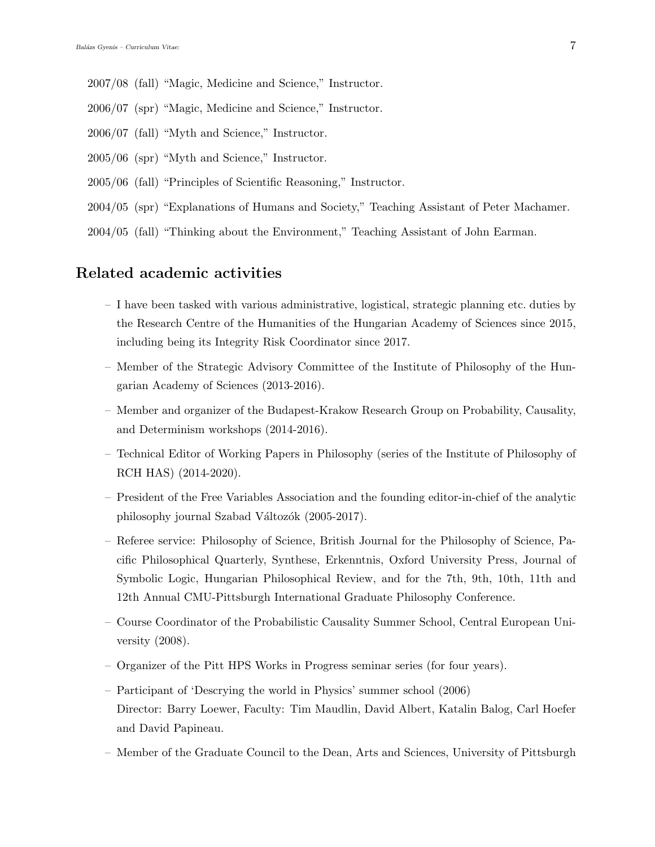- 2007/08 (fall) "Magic, Medicine and Science," Instructor.
- 2006/07 (spr) "Magic, Medicine and Science," Instructor.
- 2006/07 (fall) "Myth and Science," Instructor.
- 2005/06 (spr) "Myth and Science," Instructor.
- 2005/06 (fall) "Principles of Scientific Reasoning," Instructor.
- 2004/05 (spr) "Explanations of Humans and Society," Teaching Assistant of Peter Machamer.
- 2004/05 (fall) "Thinking about the Environment," Teaching Assistant of John Earman.

## Related academic activities

- I have been tasked with various administrative, logistical, strategic planning etc. duties by the Research Centre of the Humanities of the Hungarian Academy of Sciences since 2015, including being its Integrity Risk Coordinator since 2017.
- Member of the Strategic Advisory Committee of the Institute of Philosophy of the Hungarian Academy of Sciences (2013-2016).
- Member and organizer of the Budapest-Krakow Research Group on Probability, Causality, and Determinism workshops (2014-2016).
- Technical Editor of Working Papers in Philosophy (series of the Institute of Philosophy of RCH HAS) (2014-2020).
- President of the Free Variables Association and the founding editor-in-chief of the analytic philosophy journal Szabad Változók (2005-2017).
- Referee service: Philosophy of Science, British Journal for the Philosophy of Science, Pacific Philosophical Quarterly, Synthese, Erkenntnis, Oxford University Press, Journal of Symbolic Logic, Hungarian Philosophical Review, and for the 7th, 9th, 10th, 11th and 12th Annual CMU-Pittsburgh International Graduate Philosophy Conference.
- Course Coordinator of the Probabilistic Causality Summer School, Central European University (2008).
- Organizer of the Pitt HPS Works in Progress seminar series (for four years).
- Participant of 'Descrying the world in Physics' summer school (2006) Director: Barry Loewer, Faculty: Tim Maudlin, David Albert, Katalin Balog, Carl Hoefer and David Papineau.
- Member of the Graduate Council to the Dean, Arts and Sciences, University of Pittsburgh